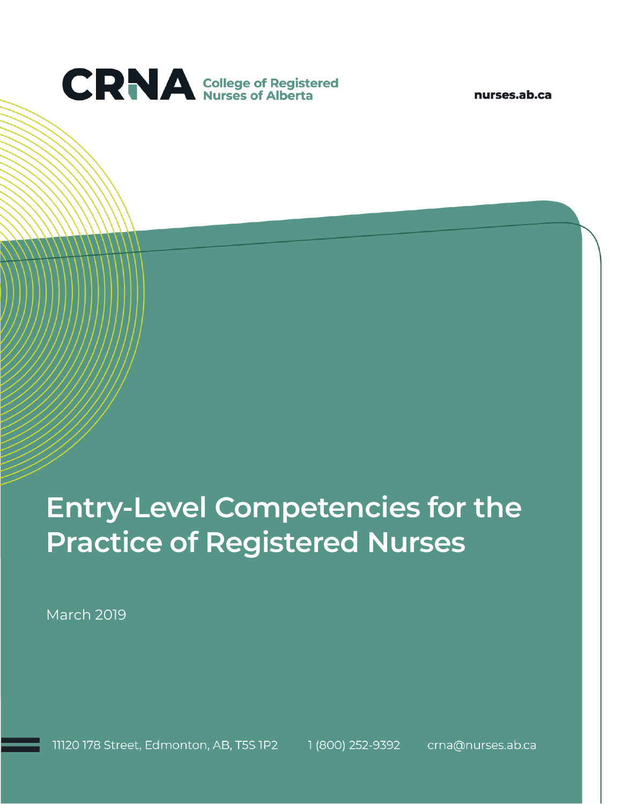

nurses.ab.ca

# **Entry-Level Competencies for the Practice of Registered Nurses**

March 2019

11120 178 Street, Edmonton, AB, T5S 1P2 1 (800) 252-9392 crna@nurses.ab.ca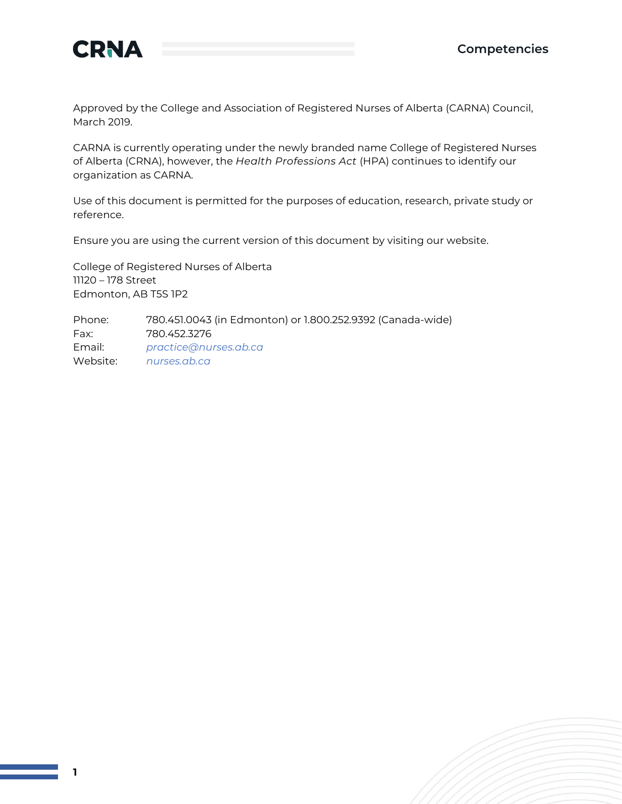



**1**

Approved by the College and Association of Registered Nurses of Alberta (CARNA) Council, March 2019.

CARNA is currently operating under the newly branded name College of Registered Nurses of Alberta (CRNA), however, the *Health Professions Act* (HPA) continues to identify our organization as CARNA.

Use of this document is permitted for the purposes of education, research, private study or reference.

Ensure you are using the current version of this document by visiting our website.

College of Registered Nurses of Alberta 11120 – 178 Street Edmonton, AB T5S 1P2

Phone: 780.451.0043 (in Edmonton) or 1.800.252.9392 (Canada-wide) Fax: 780.452.3276 Email: *[practice@nurses.ab.ca](mailto:practice@nurses.ab.ca)* Website: *[nurses.ab.ca](http://www.nurses.ab.ca/)*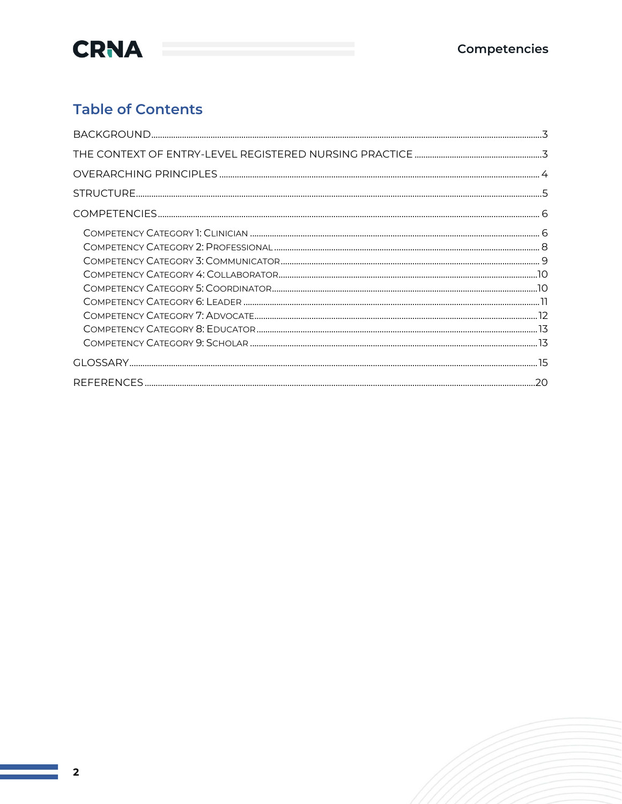

### **Table of Contents**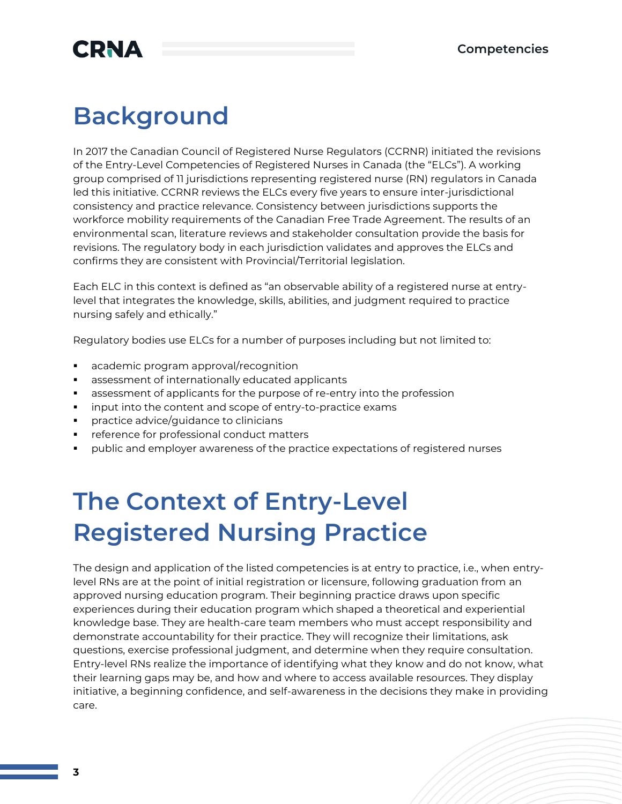## **Background**

In 2017 the Canadian Council of Registered Nurse Regulators (CCRNR) initiated the revisions of the Entry-Level Competencies of Registered Nurses in Canada (the "ELCs"). A working group comprised of 11 jurisdictions representing registered nurse (RN) regulators in Canada led this initiative. CCRNR reviews the ELCs every five years to ensure inter-jurisdictional consistency and practice relevance. Consistency between jurisdictions supports the workforce mobility requirements of the Canadian Free Trade Agreement. The results of an environmental scan, literature reviews and stakeholder consultation provide the basis for revisions. The regulatory body in each jurisdiction validates and approves the ELCs and confirms they are consistent with Provincial/Territorial legislation.

Each ELC in this context is defined as "an observable ability of a registered nurse at entrylevel that integrates the knowledge, skills, abilities, and judgment required to practice nursing safely and ethically."

Regulatory bodies use ELCs for a number of purposes including but not limited to:

- academic program approval/recognition
- **E** assessment of internationally educated applicants
- assessment of applicants for the purpose of re-entry into the profession
- input into the content and scope of entry-to-practice exams
- practice advice/guidance to clinicians
- reference for professional conduct matters
- public and employer awareness of the practice expectations of registered nurses

## **The Context of Entry-Level Registered Nursing Practice**

The design and application of the listed competencies is at entry to practice, i.e., when entrylevel RNs are at the point of initial registration or licensure, following graduation from an approved nursing education program. Their beginning practice draws upon specific experiences during their education program which shaped a theoretical and experiential knowledge base. They are health-care team members who must accept responsibility and demonstrate accountability for their practice. They will recognize their limitations, ask questions, exercise professional judgment, and determine when they require consultation. Entry-level RNs realize the importance of identifying what they know and do not know, what their learning gaps may be, and how and where to access available resources. They display initiative, a beginning confidence, and self-awareness in the decisions they make in providing care.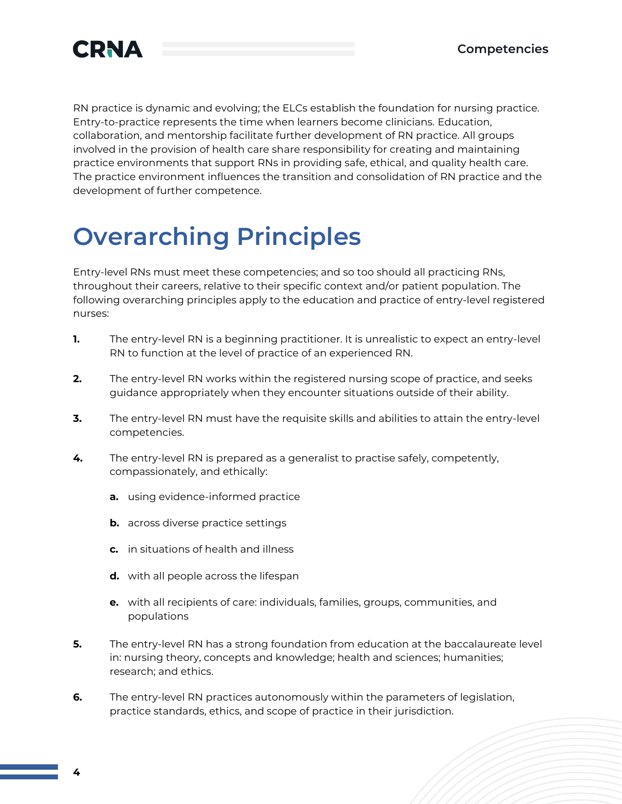

RN practice is dynamic and evolving; the ELCs establish the foundation for nursing practice. Entry-to-practice represents the time when learners become clinicians. Education, collaboration, and mentorship facilitate further development of RN practice. All groups involved in the provision of health care share responsibility for creating and maintaining practice environments that support RNs in providing safe, ethical, and quality health care. The practice environment influences the transition and consolidation of RN practice and the development of further competence.

## **Overarching Principles**

Entry-level RNs must meet these competencies; and so too should all practicing RNs, throughout their careers, relative to their specific context and/or patient population. The following overarching principles apply to the education and practice of entry-level registered nurses:

- **1.** The entry-level RN is a beginning practitioner. It is unrealistic to expect an entry-level RN to function at the level of practice of an experienced RN.
- **2.** The entry-level RN works within the registered nursing scope of practice, and seeks guidance appropriately when they encounter situations outside of their ability.
- **3.** The entry-level RN must have the requisite skills and abilities to attain the entry-level competencies.
- **4.** The entry-level RN is prepared as a generalist to practise safely, competently, compassionately, and ethically:
	- **a.** using evidence-informed practice
	- **b.** across diverse practice settings
	- **c.** in situations of health and illness
	- **d.** with all people across the lifespan
	- **e.** with all recipients of care: individuals, families, groups, communities, and populations
- **5.** The entry-level RN has a strong foundation from education at the baccalaureate level in: nursing theory, concepts and knowledge; health and sciences; humanities; research; and ethics.
- **6.** The entry-level RN practices autonomously within the parameters of legislation, practice standards, ethics, and scope of practice in their jurisdiction.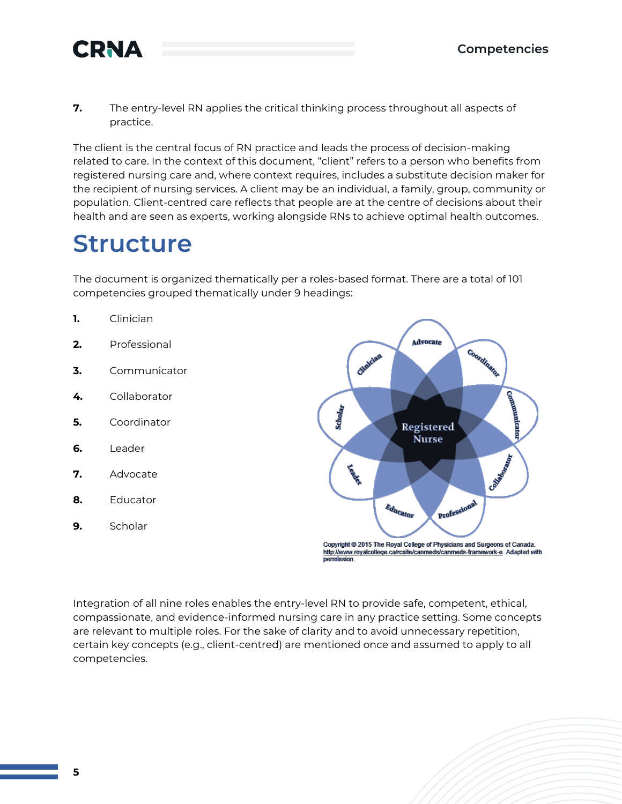

**7.** The entry-level RN applies the critical thinking process throughout all aspects of practice.

The client is the central focus of RN practice and leads the process of decision-making related to care. In the context of this document, "client" refers to a person who benefits from registered nursing care and, where context requires, includes a substitute decision maker for the recipient of nursing services. A client may be an individual, a family, group, community or population. Client-centred care reflects that people are at the centre of decisions about their health and are seen as experts, working alongside RNs to achieve optimal health outcomes.

## **Structure**

The document is organized thematically per a roles-based format. There are a total of 101 competencies grouped thematically under 9 headings:

- **1.** Clinician
- **2.** Professional
- **3.** Communicator
- **4.** Collaborator
- **5.** Coordinator
- **6.** Leader
- **7.** Advocate
- **8.** Educator
- **9.** Scholar



Integration of all nine roles enables the entry-level RN to provide safe, competent, ethical, compassionate, and evidence-informed nursing care in any practice setting. Some concepts are relevant to multiple roles. For the sake of clarity and to avoid unnecessary repetition, certain key concepts (e.g., client-centred) are mentioned once and assumed to apply to all competencies.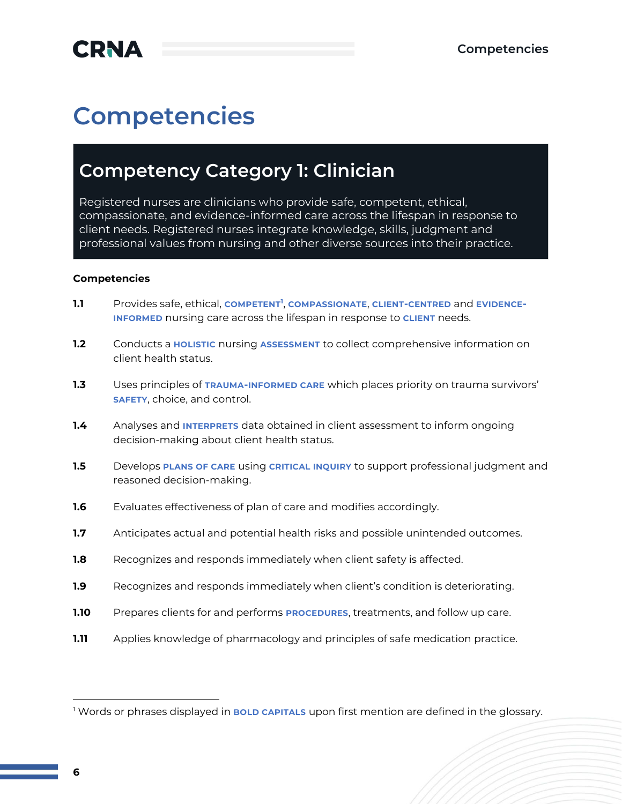## **Competencies**

### **Competency Category 1: Clinician**

Registered nurses are clinicians who provide safe, competent, ethical, compassionate, and evidence-informed care across the lifespan in response to client needs. Registered nurses integrate knowledge, skills, judgment and professional values from nursing and other diverse sources into their practice.

- **1.1** Provides safe, ethical, **COMPETENT<sup>1</sup>** , **COMPASSIONATE**, **CLIENT-CENTRED** and **EVIDENCE-INFORMED** nursing care across the lifespan in response to **CLIENT** needs.
- **1.2** Conducts a **HOLISTIC** nursing **ASSESSMENT** to collect comprehensive information on client health status.
- **1.3** Uses principles of **TRAUMA-INFORMED CARE** which places priority on trauma survivors' **SAFETY**, choice, and control.
- **1.4** Analyses and **INTERPRETS** data obtained in client assessment to inform ongoing decision-making about client health status.
- **1.5** Develops **PLANS OF CARE** using **CRITICAL INQUIRY** to support professional judgment and reasoned decision-making.
- **1.6** Evaluates effectiveness of plan of care and modifies accordingly.
- **1.7** Anticipates actual and potential health risks and possible unintended outcomes.
- **1.8** Recognizes and responds immediately when client safety is affected.
- **1.9** Recognizes and responds immediately when client's condition is deteriorating.
- **1.10** Prepares clients for and performs **PROCEDURES**, treatments, and follow up care.
- **1.11** Applies knowledge of pharmacology and principles of safe medication practice.

<sup>1</sup> Words or phrases displayed in **BOLD CAPITALS** upon first mention are defined in the glossary.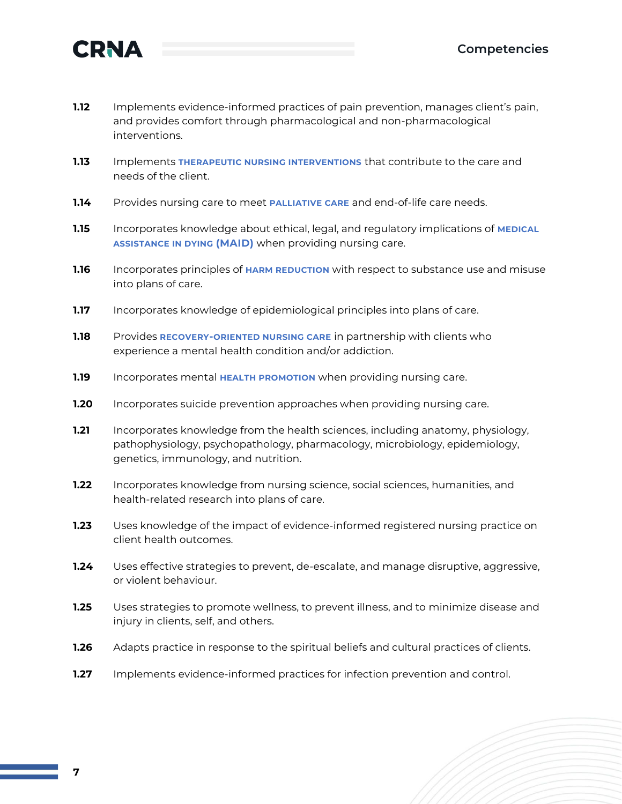

- **1.12** Implements evidence-informed practices of pain prevention, manages client's pain, and provides comfort through pharmacological and non-pharmacological interventions.
- **1.13** Implements **THERAPEUTIC NURSING INTERVENTIONS** that contribute to the care and needs of the client.
- **1.14** Provides nursing care to meet **PALLIATIVE CARE** and end-of-life care needs.
- **1.15** Incorporates knowledge about ethical, legal, and regulatory implications of **MEDICAL ASSISTANCE IN DYING (MAID)** when providing nursing care.
- **1.16** Incorporates principles of **HARM REDUCTION** with respect to substance use and misuse into plans of care.
- **1.17** Incorporates knowledge of epidemiological principles into plans of care.
- **1.18** Provides **RECOVERY-ORIENTED NURSING CARE** in partnership with clients who experience a mental health condition and/or addiction.
- **1.19** Incorporates mental **HEALTH PROMOTION** when providing nursing care.
- **1.20** Incorporates suicide prevention approaches when providing nursing care.
- **1.21** Incorporates knowledge from the health sciences, including anatomy, physiology, pathophysiology, psychopathology, pharmacology, microbiology, epidemiology, genetics, immunology, and nutrition.
- **1.22** Incorporates knowledge from nursing science, social sciences, humanities, and health-related research into plans of care.
- **1.23** Uses knowledge of the impact of evidence-informed registered nursing practice on client health outcomes.
- **1.24** Uses effective strategies to prevent, de-escalate, and manage disruptive, aggressive, or violent behaviour.
- **1.25** Uses strategies to promote wellness, to prevent illness, and to minimize disease and injury in clients, self, and others.
- **1.26** Adapts practice in response to the spiritual beliefs and cultural practices of clients.
- **1.27** Implements evidence-informed practices for infection prevention and control.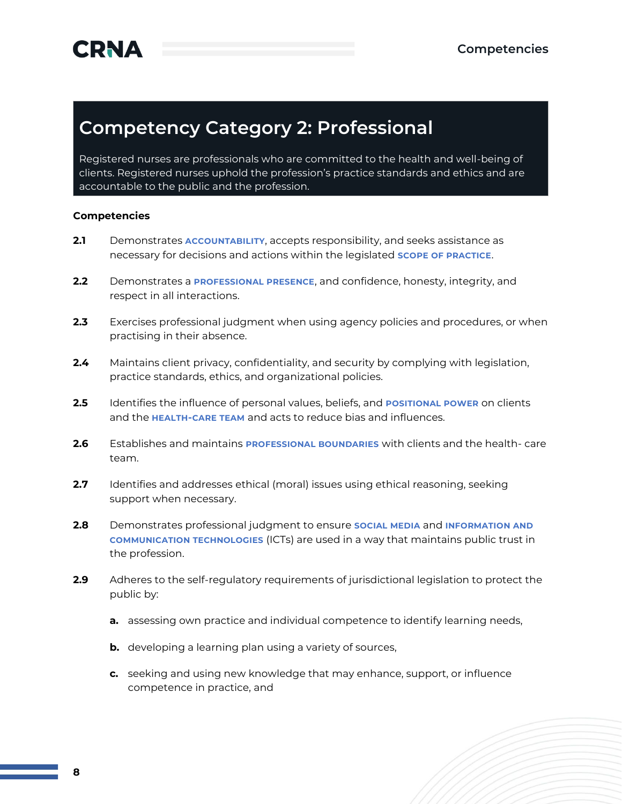### **Competency Category 2: Professional**

Registered nurses are professionals who are committed to the health and well-being of clients. Registered nurses uphold the profession's practice standards and ethics and are accountable to the public and the profession.

- **2.1** Demonstrates **ACCOUNTABILITY**, accepts responsibility, and seeks assistance as necessary for decisions and actions within the legislated **SCOPE OF PRACTICE**.
- **2.2** Demonstrates a **PROFESSIONAL PRESENCE**, and confidence, honesty, integrity, and respect in all interactions.
- **2.3** Exercises professional judgment when using agency policies and procedures, or when practising in their absence.
- **2.4** Maintains client privacy, confidentiality, and security by complying with legislation, practice standards, ethics, and organizational policies.
- **2.5** Identifies the influence of personal values, beliefs, and **POSITIONAL POWER** on clients and the **HEALTH-CARE TEAM** and acts to reduce bias and influences.
- **2.6** Establishes and maintains **PROFESSIONAL BOUNDARIES** with clients and the health- care team.
- **2.7** Identifies and addresses ethical (moral) issues using ethical reasoning, seeking support when necessary.
- **2.8** Demonstrates professional judgment to ensure **SOCIAL MEDIA** and **INFORMATION AND COMMUNICATION TECHNOLOGIES** (ICTs) are used in a way that maintains public trust in the profession.
- **2.9** Adheres to the self-regulatory requirements of jurisdictional legislation to protect the public by:
	- **a.** assessing own practice and individual competence to identify learning needs,
	- **b.** developing a learning plan using a variety of sources,
	- **c.** seeking and using new knowledge that may enhance, support, or influence competence in practice, and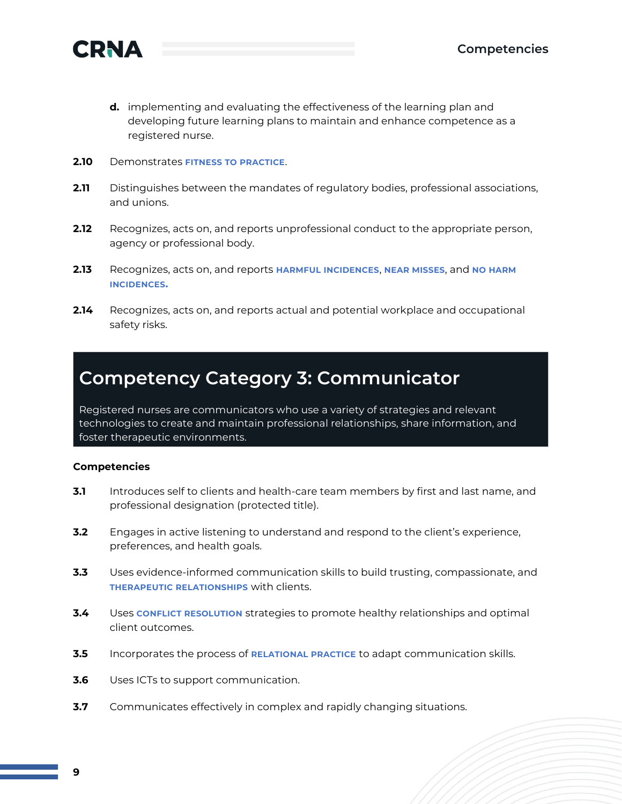



- **d.** implementing and evaluating the effectiveness of the learning plan and developing future learning plans to maintain and enhance competence as a registered nurse.
- **2.10** Demonstrates **FITNESS TO PRACTICE**.
- **2.11** Distinguishes between the mandates of regulatory bodies, professional associations, and unions.
- **2.12** Recognizes, acts on, and reports unprofessional conduct to the appropriate person, agency or professional body.
- **2.13** Recognizes, acts on, and reports **HARMFUL INCIDENCES**, **NEAR MISSES**, and **NO HARM INCIDENCES.**
- **2.14** Recognizes, acts on, and reports actual and potential workplace and occupational safety risks.

### **Competency Category 3: Communicator**

Registered nurses are communicators who use a variety of strategies and relevant technologies to create and maintain professional relationships, share information, and foster therapeutic environments.

- **3.1** Introduces self to clients and health-care team members by first and last name, and professional designation (protected title).
- **3.2** Engages in active listening to understand and respond to the client's experience, preferences, and health goals.
- **3.3** Uses evidence-informed communication skills to build trusting, compassionate, and **THERAPEUTIC RELATIONSHIPS** with clients.
- **3.4** Uses **CONFLICT RESOLUTION** strategies to promote healthy relationships and optimal client outcomes.
- **3.5** Incorporates the process of **RELATIONAL PRACTICE** to adapt communication skills.
- **3.6** Uses ICTs to support communication.
- **3.7** Communicates effectively in complex and rapidly changing situations.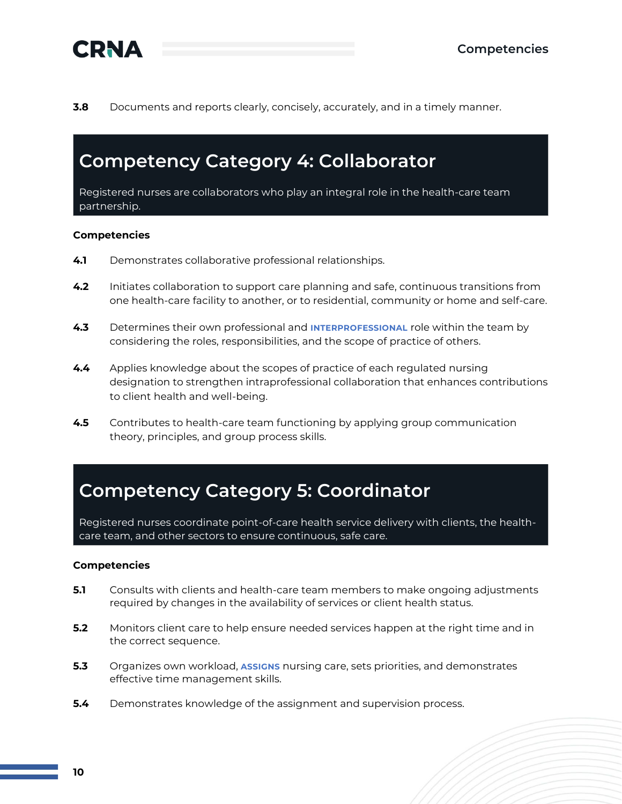

**3.8** Documents and reports clearly, concisely, accurately, and in a timely manner.

### **Competency Category 4: Collaborator**

Registered nurses are collaborators who play an integral role in the health-care team partnership.

#### **Competencies**

- **4.1** Demonstrates collaborative professional relationships.
- **4.2** Initiates collaboration to support care planning and safe, continuous transitions from one health-care facility to another, or to residential, community or home and self-care.
- **4.3** Determines their own professional and **INTERPROFESSIONAL** role within the team by considering the roles, responsibilities, and the scope of practice of others.
- **4.4** Applies knowledge about the scopes of practice of each regulated nursing designation to strengthen intraprofessional collaboration that enhances contributions to client health and well-being.
- **4.5** Contributes to health-care team functioning by applying group communication theory, principles, and group process skills.

### **Competency Category 5: Coordinator**

Registered nurses coordinate point-of-care health service delivery with clients, the healthcare team, and other sectors to ensure continuous, safe care.

- **5.1** Consults with clients and health-care team members to make ongoing adjustments required by changes in the availability of services or client health status.
- **5.2** Monitors client care to help ensure needed services happen at the right time and in the correct sequence.
- **5.3** Organizes own workload, **ASSIGNS** nursing care, sets priorities, and demonstrates effective time management skills.
- **5.4** Demonstrates knowledge of the assignment and supervision process.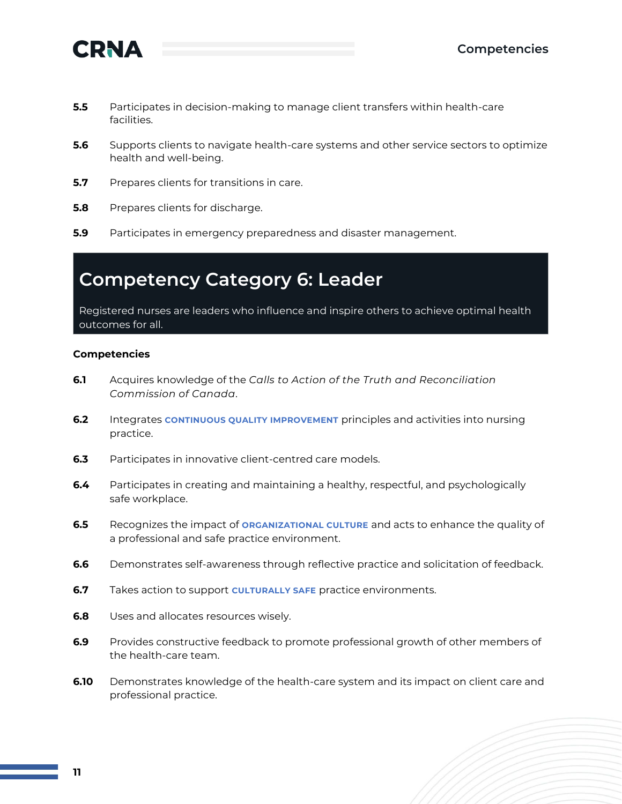

- **5.5** Participates in decision-making to manage client transfers within health-care facilities.
- **5.6** Supports clients to navigate health-care systems and other service sectors to optimize health and well-being.
- **5.7** Prepares clients for transitions in care.
- **5.8** Prepares clients for discharge.
- **5.9** Participates in emergency preparedness and disaster management.

### **Competency Category 6: Leader**

Registered nurses are leaders who influence and inspire others to achieve optimal health outcomes for all.

- **6.1** Acquires knowledge of the *Calls to Action of the Truth and Reconciliation Commission of Canada*.
- **6.2** Integrates **CONTINUOUS QUALITY IMPROVEMENT** principles and activities into nursing practice.
- **6.3** Participates in innovative client-centred care models.
- **6.4** Participates in creating and maintaining a healthy, respectful, and psychologically safe workplace.
- **6.5** Recognizes the impact of **ORGANIZATIONAL CULTURE** and acts to enhance the quality of a professional and safe practice environment.
- **6.6** Demonstrates self-awareness through reflective practice and solicitation of feedback.
- **6.7** Takes action to support **CULTURALLY SAFE** practice environments.
- **6.8** Uses and allocates resources wisely.
- **6.9** Provides constructive feedback to promote professional growth of other members of the health-care team.
- **6.10** Demonstrates knowledge of the health-care system and its impact on client care and professional practice.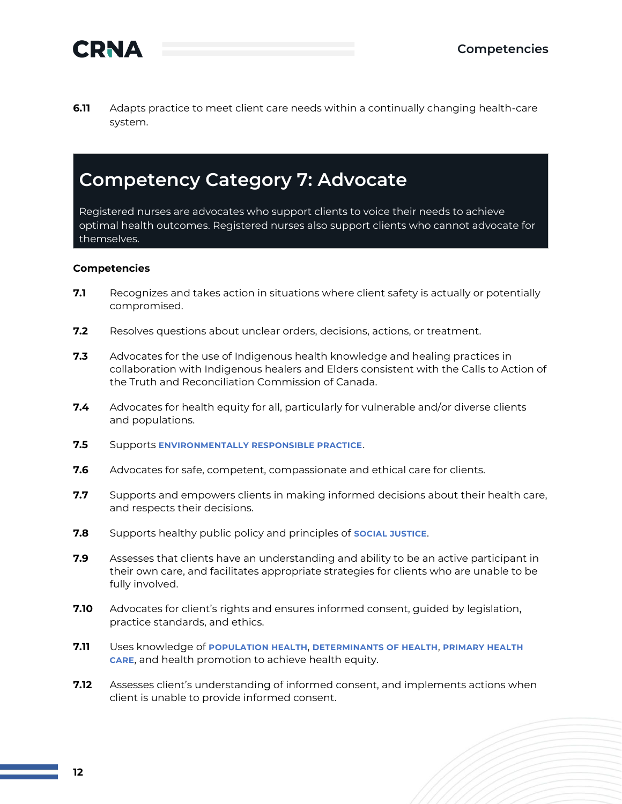

**6.11** Adapts practice to meet client care needs within a continually changing health-care system.

### **Competency Category 7: Advocate**

Registered nurses are advocates who support clients to voice their needs to achieve optimal health outcomes. Registered nurses also support clients who cannot advocate for themselves.

- **7.1** Recognizes and takes action in situations where client safety is actually or potentially compromised.
- **7.2** Resolves questions about unclear orders, decisions, actions, or treatment.
- **7.3** Advocates for the use of Indigenous health knowledge and healing practices in collaboration with Indigenous healers and Elders consistent with the Calls to Action of the Truth and Reconciliation Commission of Canada.
- **7.4** Advocates for health equity for all, particularly for vulnerable and/or diverse clients and populations.
- **7.5** Supports **ENVIRONMENTALLY RESPONSIBLE PRACTICE**.
- **7.6** Advocates for safe, competent, compassionate and ethical care for clients.
- **7.7** Supports and empowers clients in making informed decisions about their health care, and respects their decisions.
- **7.8** Supports healthy public policy and principles of **SOCIAL JUSTICE**.
- **7.9** Assesses that clients have an understanding and ability to be an active participant in their own care, and facilitates appropriate strategies for clients who are unable to be fully involved.
- **7.10** Advocates for client's rights and ensures informed consent, guided by legislation, practice standards, and ethics.
- **7.11** Uses knowledge of **POPULATION HEALTH**, **DETERMINANTS OF HEALTH**, **PRIMARY HEALTH CARE**, and health promotion to achieve health equity.
- **7.12** Assesses client's understanding of informed consent, and implements actions when client is unable to provide informed consent.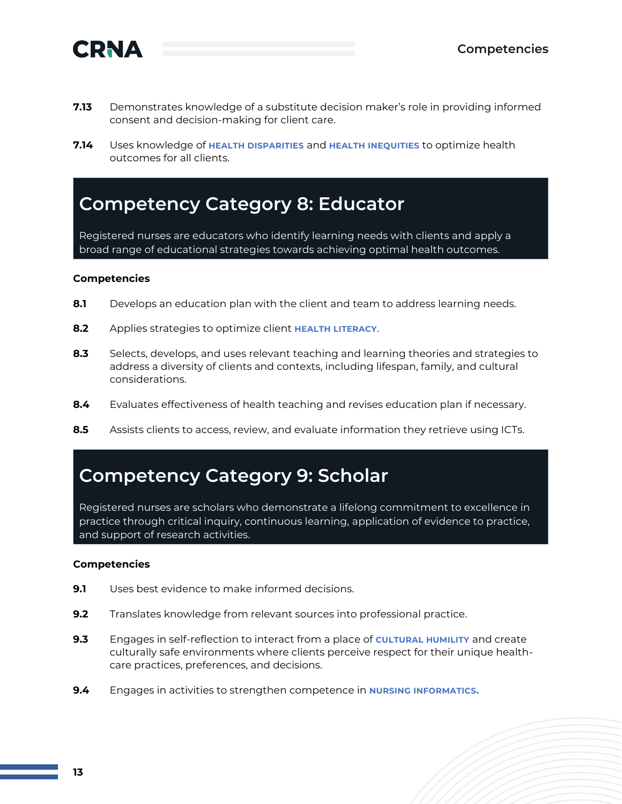

- **7.13** Demonstrates knowledge of a substitute decision maker's role in providing informed consent and decision-making for client care.
- **7.14** Uses knowledge of **HEALTH DISPARITIES** and **HEALTH INEQUITIES** to optimize health outcomes for all clients.

### **Competency Category 8: Educator**

Registered nurses are educators who identify learning needs with clients and apply a broad range of educational strategies towards achieving optimal health outcomes.

#### **Competencies**

- **8.1** Develops an education plan with the client and team to address learning needs.
- **8.2** Applies strategies to optimize client **HEALTH LITERACY**.
- **8.3** Selects, develops, and uses relevant teaching and learning theories and strategies to address a diversity of clients and contexts, including lifespan, family, and cultural considerations.
- **8.4** Evaluates effectiveness of health teaching and revises education plan if necessary.
- **8.5** Assists clients to access, review, and evaluate information they retrieve using ICTs.

#### **Competency Category 9: Scholar**

Registered nurses are scholars who demonstrate a lifelong commitment to excellence in practice through critical inquiry, continuous learning, application of evidence to practice, and support of research activities.

- **9.1** Uses best evidence to make informed decisions.
- **9.2** Translates knowledge from relevant sources into professional practice.
- **9.3** Engages in self-reflection to interact from a place of **CULTURAL HUMILITY** and create culturally safe environments where clients perceive respect for their unique healthcare practices, preferences, and decisions.
- **9.4** Engages in activities to strengthen competence in **NURSING INFORMATICS.**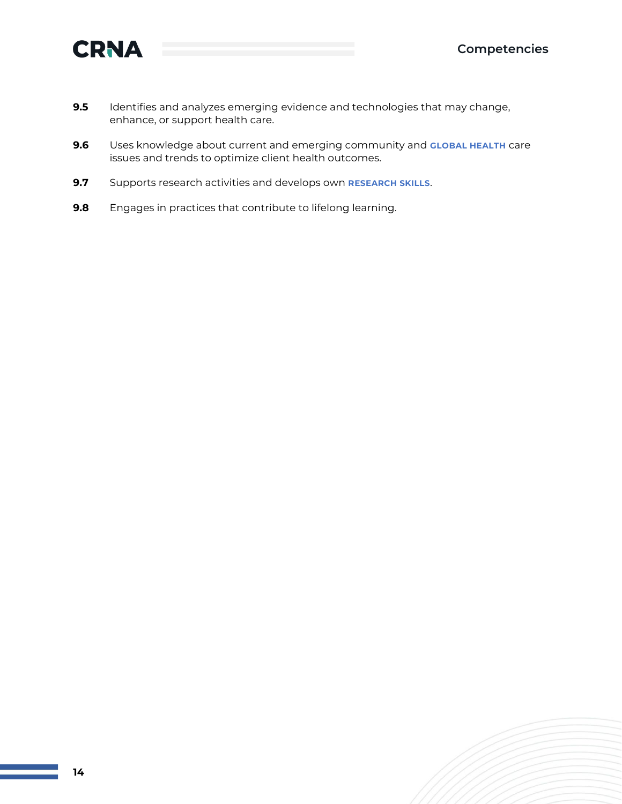

- **9.5** Identifies and analyzes emerging evidence and technologies that may change, enhance, or support health care.
- **9.6** Uses knowledge about current and emerging community and **GLOBAL HEALTH** care issues and trends to optimize client health outcomes.
- **9.7** Supports research activities and develops own **RESEARCH SKILLS**.
- **9.8** Engages in practices that contribute to lifelong learning.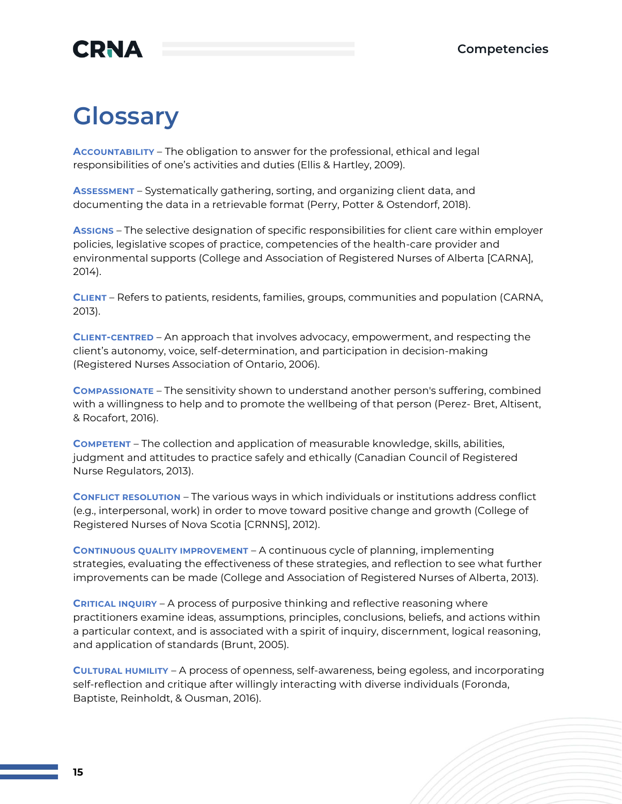## **Glossary**

**ACCOUNTABILITY** – The obligation to answer for the professional, ethical and legal responsibilities of one's activities and duties (Ellis & Hartley, 2009).

**ASSESSMENT** – Systematically gathering, sorting, and organizing client data, and documenting the data in a retrievable format (Perry, Potter & Ostendorf, 2018).

**ASSIGNS** – The selective designation of specific responsibilities for client care within employer policies, legislative scopes of practice, competencies of the health-care provider and environmental supports (College and Association of Registered Nurses of Alberta [CARNA], 2014).

**CLIENT** – Refers to patients, residents, families, groups, communities and population (CARNA, 2013).

**CLIENT-CENTRED** – An approach that involves advocacy, empowerment, and respecting the client's autonomy, voice, self-determination, and participation in decision-making (Registered Nurses Association of Ontario, 2006).

**COMPASSIONATE** – The sensitivity shown to understand another person's suffering, combined with a willingness to help and to promote the wellbeing of that person (Perez- Bret, Altisent, & Rocafort, 2016).

**COMPETENT** – The collection and application of measurable knowledge, skills, abilities, judgment and attitudes to practice safely and ethically (Canadian Council of Registered Nurse Regulators, 2013).

**CONFLICT RESOLUTION** – The various ways in which individuals or institutions address conflict (e.g., interpersonal, work) in order to move toward positive change and growth (College of Registered Nurses of Nova Scotia [CRNNS], 2012).

**CONTINUOUS QUALITY IMPROVEMENT** – A continuous cycle of planning, implementing strategies, evaluating the effectiveness of these strategies, and reflection to see what further improvements can be made (College and Association of Registered Nurses of Alberta, 2013).

**CRITICAL INQUIRY** – A process of purposive thinking and reflective reasoning where practitioners examine ideas, assumptions, principles, conclusions, beliefs, and actions within a particular context, and is associated with a spirit of inquiry, discernment, logical reasoning, and application of standards (Brunt, 2005).

**CULTURAL HUMILITY** – A process of openness, self-awareness, being egoless, and incorporating self-reflection and critique after willingly interacting with diverse individuals (Foronda, Baptiste, Reinholdt, & Ousman, 2016).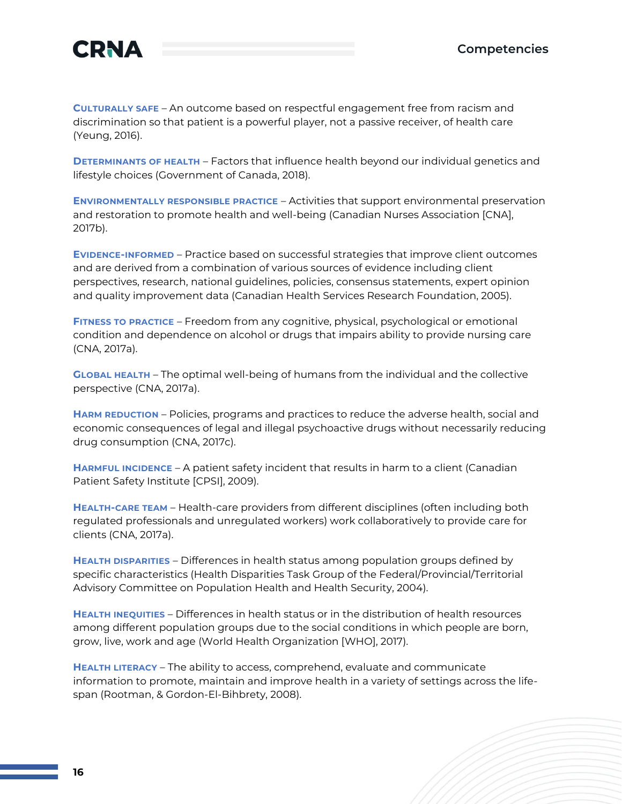

**CULTURALLY SAFE** – An outcome based on respectful engagement free from racism and discrimination so that patient is a powerful player, not a passive receiver, of health care (Yeung, 2016).

**DETERMINANTS OF HEALTH** – Factors that influence health beyond our individual genetics and lifestyle choices (Government of Canada, 2018).

**ENVIRONMENTALLY RESPONSIBLE PRACTICE** – Activities that support environmental preservation and restoration to promote health and well-being (Canadian Nurses Association [CNA], 2017b).

**EVIDENCE-INFORMED** – Practice based on successful strategies that improve client outcomes and are derived from a combination of various sources of evidence including client perspectives, research, national guidelines, policies, consensus statements, expert opinion and quality improvement data (Canadian Health Services Research Foundation, 2005).

**FITNESS TO PRACTICE** – Freedom from any cognitive, physical, psychological or emotional condition and dependence on alcohol or drugs that impairs ability to provide nursing care (CNA, 2017a).

**GLOBAL HEALTH** – The optimal well-being of humans from the individual and the collective perspective (CNA, 2017a).

**HARM REDUCTION** – Policies, programs and practices to reduce the adverse health, social and economic consequences of legal and illegal psychoactive drugs without necessarily reducing drug consumption (CNA, 2017c).

**HARMFUL INCIDENCE** – A patient safety incident that results in harm to a client (Canadian Patient Safety Institute [CPSI], 2009).

**HEALTH-CARE TEAM** – Health-care providers from different disciplines (often including both regulated professionals and unregulated workers) work collaboratively to provide care for clients (CNA, 2017a).

**HEALTH DISPARITIES** – Differences in health status among population groups defined by specific characteristics (Health Disparities Task Group of the Federal/Provincial/Territorial Advisory Committee on Population Health and Health Security, 2004).

**HEALTH INEQUITIES** – Differences in health status or in the distribution of health resources among different population groups due to the social conditions in which people are born, grow, live, work and age (World Health Organization [WHO], 2017).

**HEALTH LITERACY** – The ability to access, comprehend, evaluate and communicate information to promote, maintain and improve health in a variety of settings across the lifespan (Rootman, & Gordon-El-Bihbrety, 2008).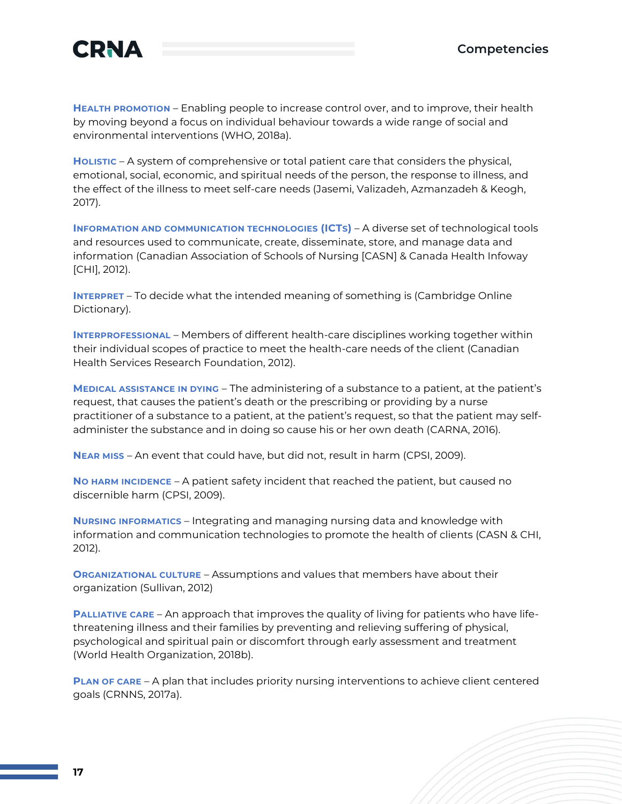

**HEALTH PROMOTION** – Enabling people to increase control over, and to improve, their health by moving beyond a focus on individual behaviour towards a wide range of social and environmental interventions (WHO, 2018a).

**HOLISTIC** – A system of comprehensive or total patient care that considers the physical, emotional, social, economic, and spiritual needs of the person, the response to illness, and the effect of the illness to meet self-care needs (Jasemi, Valizadeh, Azmanzadeh & Keogh, 2017).

**INFORMATION AND COMMUNICATION TECHNOLOGIES (ICTS)** – A diverse set of technological tools and resources used to communicate, create, disseminate, store, and manage data and information (Canadian Association of Schools of Nursing [CASN] & Canada Health Infoway [CHI], 2012).

**INTERPRET** – To decide what the intended meaning of something is (Cambridge Online Dictionary).

**INTERPROFESSIONAL** – Members of different health-care disciplines working together within their individual scopes of practice to meet the health-care needs of the client (Canadian Health Services Research Foundation, 2012).

**MEDICAL ASSISTANCE IN DYING** – The administering of a substance to a patient, at the patient's request, that causes the patient's death or the prescribing or providing by a nurse practitioner of a substance to a patient, at the patient's request, so that the patient may selfadminister the substance and in doing so cause his or her own death (CARNA, 2016).

**NEAR MISS** – An event that could have, but did not, result in harm (CPSI, 2009).

**NO HARM INCIDENCE** – A patient safety incident that reached the patient, but caused no discernible harm (CPSI, 2009).

**NURSING INFORMATICS** – Integrating and managing nursing data and knowledge with information and communication technologies to promote the health of clients (CASN & CHI, 2012).

**ORGANIZATIONAL CULTURE** – Assumptions and values that members have about their organization (Sullivan, 2012)

**PALLIATIVE CARE** – An approach that improves the quality of living for patients who have lifethreatening illness and their families by preventing and relieving suffering of physical, psychological and spiritual pain or discomfort through early assessment and treatment (World Health Organization, 2018b).

**PLAN OF CARE** – A plan that includes priority nursing interventions to achieve client centered goals (CRNNS, 2017a).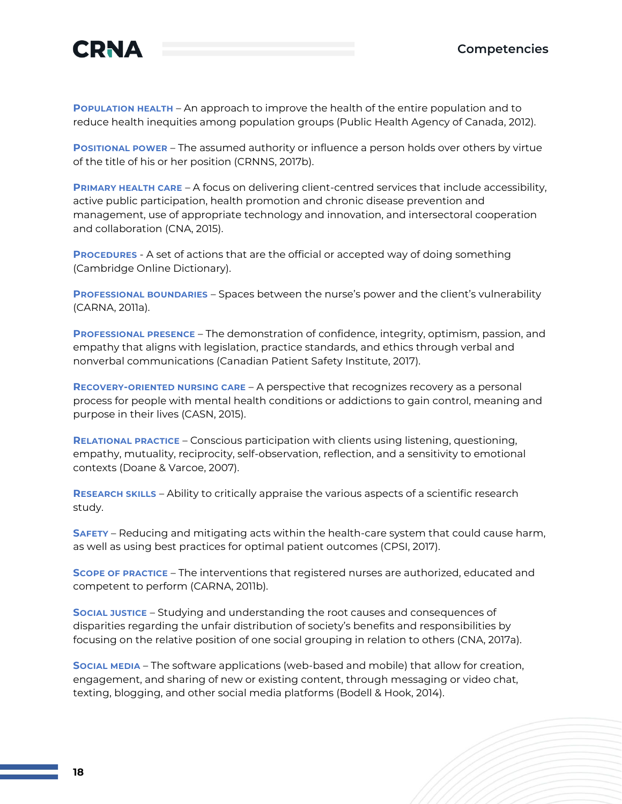

**POPULATION HEALTH** – An approach to improve the health of the entire population and to reduce health inequities among population groups (Public Health Agency of Canada, 2012).

**POSITIONAL POWER** – The assumed authority or influence a person holds over others by virtue of the title of his or her position (CRNNS, 2017b).

**PRIMARY HEALTH CARE** – A focus on delivering client-centred services that include accessibility, active public participation, health promotion and chronic disease prevention and management, use of appropriate technology and innovation, and intersectoral cooperation and collaboration (CNA, 2015).

**PROCEDURES** - A set of actions that are the official or accepted way of doing something (Cambridge Online Dictionary).

**PROFESSIONAL BOUNDARIES** – Spaces between the nurse's power and the client's vulnerability (CARNA, 2011a).

**PROFESSIONAL PRESENCE** – The demonstration of confidence, integrity, optimism, passion, and empathy that aligns with legislation, practice standards, and ethics through verbal and nonverbal communications (Canadian Patient Safety Institute, 2017).

**RECOVERY-ORIENTED NURSING CARE** – A perspective that recognizes recovery as a personal process for people with mental health conditions or addictions to gain control, meaning and purpose in their lives (CASN, 2015).

**RELATIONAL PRACTICE** – Conscious participation with clients using listening, questioning, empathy, mutuality, reciprocity, self-observation, reflection, and a sensitivity to emotional contexts (Doane & Varcoe, 2007).

**RESEARCH SKILLS** – Ability to critically appraise the various aspects of a scientific research study.

**SAFETY** – Reducing and mitigating acts within the health-care system that could cause harm, as well as using best practices for optimal patient outcomes (CPSI, 2017).

**SCOPE OF PRACTICE** – The interventions that registered nurses are authorized, educated and competent to perform (CARNA, 2011b).

**SOCIAL JUSTICE** – Studying and understanding the root causes and consequences of disparities regarding the unfair distribution of society's benefits and responsibilities by focusing on the relative position of one social grouping in relation to others (CNA, 2017a).

**SOCIAL MEDIA** – The software applications (web-based and mobile) that allow for creation, engagement, and sharing of new or existing content, through messaging or video chat, texting, blogging, and other social media platforms (Bodell & Hook, 2014).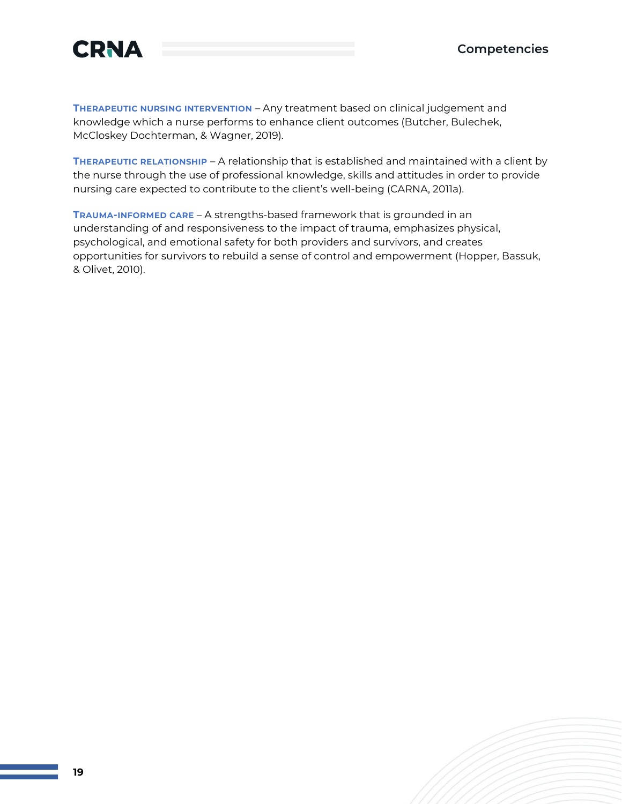

**THERAPEUTIC NURSING INTERVENTION** – Any treatment based on clinical judgement and knowledge which a nurse performs to enhance client outcomes (Butcher, Bulechek, McCloskey Dochterman, & Wagner, 2019).

**THERAPEUTIC RELATIONSHIP** – A relationship that is established and maintained with a client by the nurse through the use of professional knowledge, skills and attitudes in order to provide nursing care expected to contribute to the client's well-being (CARNA, 2011a).

**TRAUMA-INFORMED CARE** – A strengths-based framework that is grounded in an understanding of and responsiveness to the impact of trauma, emphasizes physical, psychological, and emotional safety for both providers and survivors, and creates opportunities for survivors to rebuild a sense of control and empowerment (Hopper, Bassuk, & Olivet, 2010).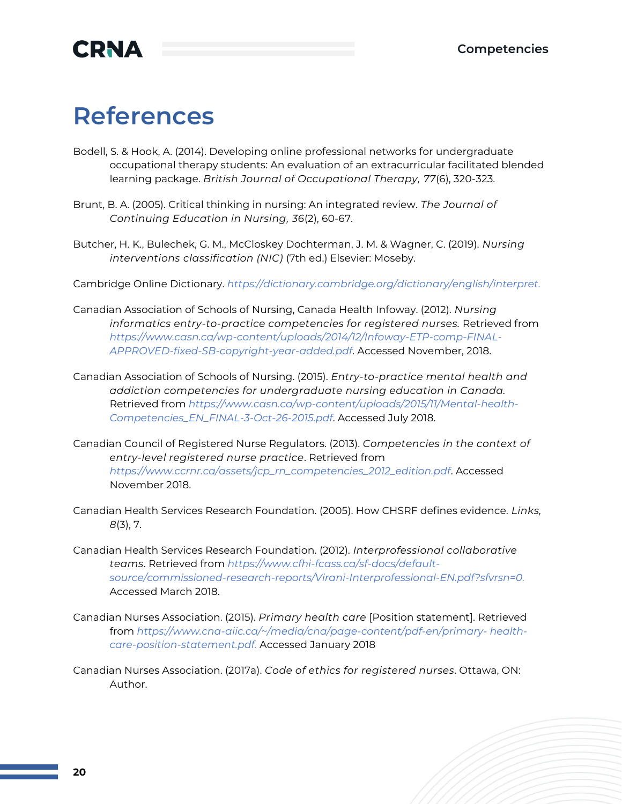## **References**

- Bodell, S. & Hook, A. (2014). Developing online professional networks for undergraduate occupational therapy students: An evaluation of an extracurricular facilitated blended learning package. *British Journal of Occupational Therapy, 77*(6), 320-323.
- Brunt, B. A. (2005). Critical thinking in nursing: An integrated review. *The Journal of Continuing Education in Nursing, 36*(2), 60-67.
- Butcher, H. K., Bulechek, G. M., McCloskey Dochterman, J. M. & Wagner, C. (2019). *Nursing interventions classification (NIC)* (7th ed.) Elsevier: Moseby.

Cambridge Online Dictionary. *[https://dictionary.cambridge.org/dictionary/english/interpret.](https://dictionary.cambridge.org/dictionary/english/interpret)*

- Canadian Association of Schools of Nursing, Canada Health Infoway. (2012). *Nursing informatics entry-to-practice competencies for registered nurses.* Retrieved from *[https://www.casn.ca/wp-content/uploads/2014/12/Infoway-ETP-comp-FINAL-](https://www.casn.ca/wp-content/uploads/2014/12/Infoway-ETP-comp-FINAL-APPROVED-fixed-SB-copyright-year-added.pdf)[APPROVED-fixed-SB-copyright-year-added.pdf](https://www.casn.ca/wp-content/uploads/2014/12/Infoway-ETP-comp-FINAL-APPROVED-fixed-SB-copyright-year-added.pdf)*. Accessed November, 2018.
- Canadian Association of Schools of Nursing. (2015). *Entry-to-practice mental health and addiction competencies for undergraduate nursing education in Canada.* Retrieved from *[https://www.casn.ca/wp-content/uploads/2015/11/Mental-health-](https://www.casn.ca/wp-content/uploads/2015/11/Mental-health-Competencies_EN_FINAL-3-Oct-26-2015.pdf)[Competencies\\_EN\\_FINAL-3-Oct-26-2015.pdf](https://www.casn.ca/wp-content/uploads/2015/11/Mental-health-Competencies_EN_FINAL-3-Oct-26-2015.pdf)*. Accessed July 2018.
- Canadian Council of Registered Nurse Regulators. (2013). *Competencies in the context of entry-level registered nurse practice*. Retrieved from *[https://www.ccrnr.ca/assets/jcp\\_rn\\_competencies\\_2012\\_edition.pdf](https://www.ccrnr.ca/assets/jcp_rn_competencies_2012_edition.pdf)*. Accessed November 2018.
- Canadian Health Services Research Foundation. (2005). How CHSRF defines evidence. *Links, 8*(3), 7.
- Canadian Health Services Research Foundation. (2012). *Interprofessional collaborative teams*. Retrieved from *[https://www.cfhi-fcass.ca/sf-docs/default](https://www.cfhi-fcass.ca/sf-docs/default-source/commissioned-research-reports/Virani-Interprofessional-EN.pdf?sfvrsn=0)[source/commissioned-research-reports/Virani-Interprofessional-EN.pdf?sfvrsn=0.](https://www.cfhi-fcass.ca/sf-docs/default-source/commissioned-research-reports/Virani-Interprofessional-EN.pdf?sfvrsn=0)* Accessed March 2018.
- Canadian Nurses Association. (2015). *Primary health care* [Position statement]. Retrieved from *[https://www.cna-aiic.ca/~/media/cna/page-content/pdf-en/primary-](https://www.cna-aiic.ca/~/media/cna/page-content/pdf-en/primary-health-care-position-statement.pdf) [health](https://www.cna-aiic.ca/~/media/cna/page-content/pdf-en/primary-health-care-position-statement.pdf)[care-position-statement.pdf.](https://www.cna-aiic.ca/~/media/cna/page-content/pdf-en/primary-health-care-position-statement.pdf)* Accessed January 2018
- Canadian Nurses Association. (2017a). *Code of ethics for registered nurses*. Ottawa, ON: Author.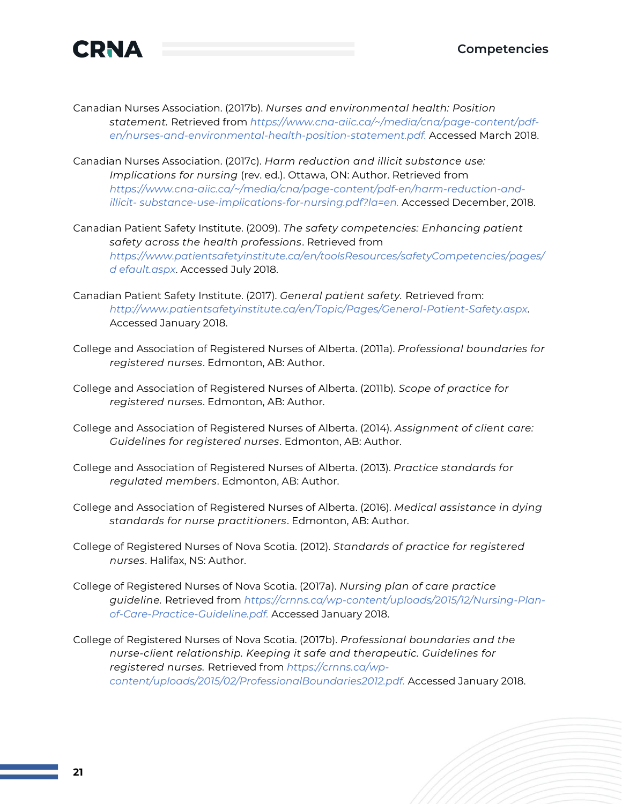

- Canadian Nurses Association. (2017b). *Nurses and environmental health: Position statement.* Retrieved from *[https://www.cna-aiic.ca/~/media/cna/page-content/pdf](https://www.cna-aiic.ca/~/media/cna/page-content/pdf-en/nurses-and-environmental-health-position-statement.pdf)[en/nurses-and-environmental-health-position-statement.pdf.](https://www.cna-aiic.ca/~/media/cna/page-content/pdf-en/nurses-and-environmental-health-position-statement.pdf)* Accessed March 2018.
- Canadian Nurses Association. (2017c). *Harm reduction and illicit substance use: Implications for nursing* (rev. ed.). Ottawa, ON: Author. Retrieved from *[https://www.cna-aiic.ca/~/media/cna/page-content/pdf-en/harm-reduction-and](https://www.cna-aiic.ca/~/media/cna/page-content/pdf-en/harm-reduction-and-illicit-substance-use-implications-for-nursing.pdf?la=en)[illicit-](https://www.cna-aiic.ca/~/media/cna/page-content/pdf-en/harm-reduction-and-illicit-substance-use-implications-for-nursing.pdf?la=en) [substance-use-implications-for-nursing.pdf?la=en.](https://www.cna-aiic.ca/~/media/cna/page-content/pdf-en/harm-reduction-and-illicit-substance-use-implications-for-nursing.pdf?la=en)* Accessed December, 2018.
- Canadian Patient Safety Institute. (2009). *The safety competencies: Enhancing patient safety across the health professions*. Retrieved from *[https://www.patientsafetyinstitute.ca/en/toolsResources/safetyCompetencies/pages/](https://www.patientsafetyinstitute.ca/en/toolsResources/safetyCompetencies/pages/default.aspx) [d](https://www.patientsafetyinstitute.ca/en/toolsResources/safetyCompetencies/pages/default.aspx) [efault.aspx](https://www.patientsafetyinstitute.ca/en/toolsResources/safetyCompetencies/pages/default.aspx)*. Accessed July 2018.
- Canadian Patient Safety Institute. (2017). *General patient safety.* Retrieved from: *<http://www.patientsafetyinstitute.ca/en/Topic/Pages/General-Patient-Safety.aspx>*. Accessed January 2018.
- College and Association of Registered Nurses of Alberta. (2011a). *Professional boundaries for registered nurses*. Edmonton, AB: Author.
- College and Association of Registered Nurses of Alberta. (2011b). *Scope of practice for registered nurses*. Edmonton, AB: Author.
- College and Association of Registered Nurses of Alberta. (2014). *Assignment of client care: Guidelines for registered nurses*. Edmonton, AB: Author.
- College and Association of Registered Nurses of Alberta. (2013). *Practice standards for regulated members*. Edmonton, AB: Author.
- College and Association of Registered Nurses of Alberta. (2016). *Medical assistance in dying standards for nurse practitioners*. Edmonton, AB: Author.
- College of Registered Nurses of Nova Scotia. (2012). *Standards of practice for registered nurses*. Halifax, NS: Author.
- College of Registered Nurses of Nova Scotia. (2017a). *Nursing plan of care practice guideline.* Retrieved from *[https://crnns.ca/wp-content/uploads/2015/12/Nursing-Plan](https://crnns.ca/wp-content/uploads/2015/12/Nursing-Plan-of-Care-Practice-Guideline.pdf)[of-Care-Practice-Guideline.pdf.](https://crnns.ca/wp-content/uploads/2015/12/Nursing-Plan-of-Care-Practice-Guideline.pdf)* Accessed January 2018.
- College of Registered Nurses of Nova Scotia. (2017b). *Professional boundaries and the nurse-client relationship. Keeping it safe and therapeutic. Guidelines for registered nurses.* Retrieved from *[https://crnns.ca/wp](https://crnns.ca/wp-content/uploads/2015/02/ProfessionalBoundaries2012.pdf)[content/uploads/2015/02/ProfessionalBoundaries2012.pdf.](https://crnns.ca/wp-content/uploads/2015/02/ProfessionalBoundaries2012.pdf)* Accessed January 2018.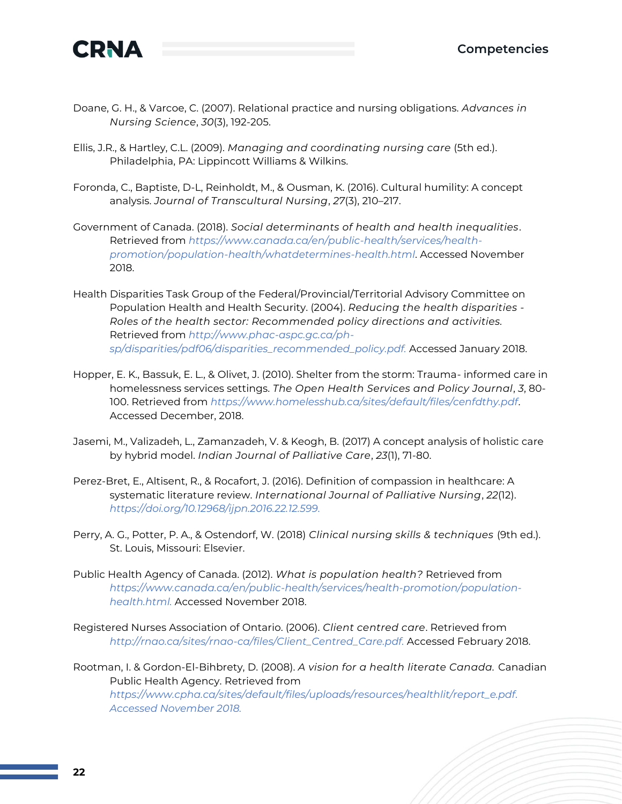

- Doane, G. H., & Varcoe, C. (2007). Relational practice and nursing obligations. *Advances in Nursing Science*, *30*(3), 192-205.
- Ellis, J.R., & Hartley, C.L. (2009). *Managing and coordinating nursing care* (5th ed.). Philadelphia, PA: Lippincott Williams & Wilkins.
- Foronda, C., Baptiste, D-L, Reinholdt, M., & Ousman, K. (2016). Cultural humility: A concept analysis. *Journal of Transcultural Nursing*, *27*(3), 210–217.
- Government of Canada. (2018). *Social determinants of health and health inequalities*. Retrieved from *[https://www.canada.ca/en/public-health/services/health](https://www.canada.ca/en/public-health/services/health-promotion/population-health/whatdetermines-health.html)[promotion/population-health/whatdetermines-health.html](https://www.canada.ca/en/public-health/services/health-promotion/population-health/whatdetermines-health.html)*. Accessed November 2018.
- Health Disparities Task Group of the Federal/Provincial/Territorial Advisory Committee on Population Health and Health Security. (2004). *Reducing the health disparities - Roles of the health sector: Recommended policy directions and activities.*  Retrieved from *[http://www.phac-aspc.gc.ca/ph](http://www.phac-aspc.gc.ca/ph-sp/disparities/pdf06/disparities_recommended_policy.pdf)[sp/disparities/pdf06/disparities\\_recommended\\_policy.pdf.](http://www.phac-aspc.gc.ca/ph-sp/disparities/pdf06/disparities_recommended_policy.pdf)* Accessed January 2018.
- Hopper, E. K., Bassuk, E. L., & Olivet, J. (2010). Shelter from the storm: Trauma- informed care in homelessness services settings. *The Open Health Services and Policy Journal*, *3*, 80- 100. Retrieved from *<https://www.homelesshub.ca/sites/default/files/cenfdthy.pdf>*. Accessed December, 2018.
- Jasemi, M., Valizadeh, L., Zamanzadeh, V. & Keogh, B. (2017) A concept analysis of holistic care by hybrid model. *Indian Journal of Palliative Care*, *23*(1), 71-80.
- Perez-Bret, E., Altisent, R., & Rocafort, J. (2016). Definition of compassion in healthcare: A systematic literature review. *International Journal of Palliative Nursing*, *22*(12). *[https://doi.org/10.12968/ijpn.2016.22.12.599.](https://doi.org/10.12968/ijpn.2016.22.12.599)*
- Perry, A. G., Potter, P. A., & Ostendorf, W. (2018) *Clinical nursing skills & techniques* (9th ed.). St. Louis, Missouri: Elsevier.
- Public Health Agency of Canada. (2012). *What is population health?* Retrieved from *[https://www.canada.ca/en/public-health/services/health-promotion/population](https://www.canada.ca/en/public-health/services/health-promotion/population-health.html)[health.html.](https://www.canada.ca/en/public-health/services/health-promotion/population-health.html)* Accessed November 2018.
- Registered Nurses Association of Ontario. (2006). *Client centred care*. Retrieved from *[http://rnao.ca/sites/rnao-ca/files/Client\\_Centred\\_Care.pdf.](http://rnao.ca/sites/rnao-ca/files/Client_Centred_Care.pdf)* Accessed February 2018.

Rootman, I. & Gordon-El-Bihbrety, D. (2008). *A vision for a health literate Canada.* Canadian Public Health Agency. Retrieved from *[https://www.cpha.ca/sites/default/files/uploads/resources/healthlit/report\\_e.pdf.](https://www.cpha.ca/sites/default/files/uploads/resources/healthlit/report_e.pdf)  Accessed November 2018.*